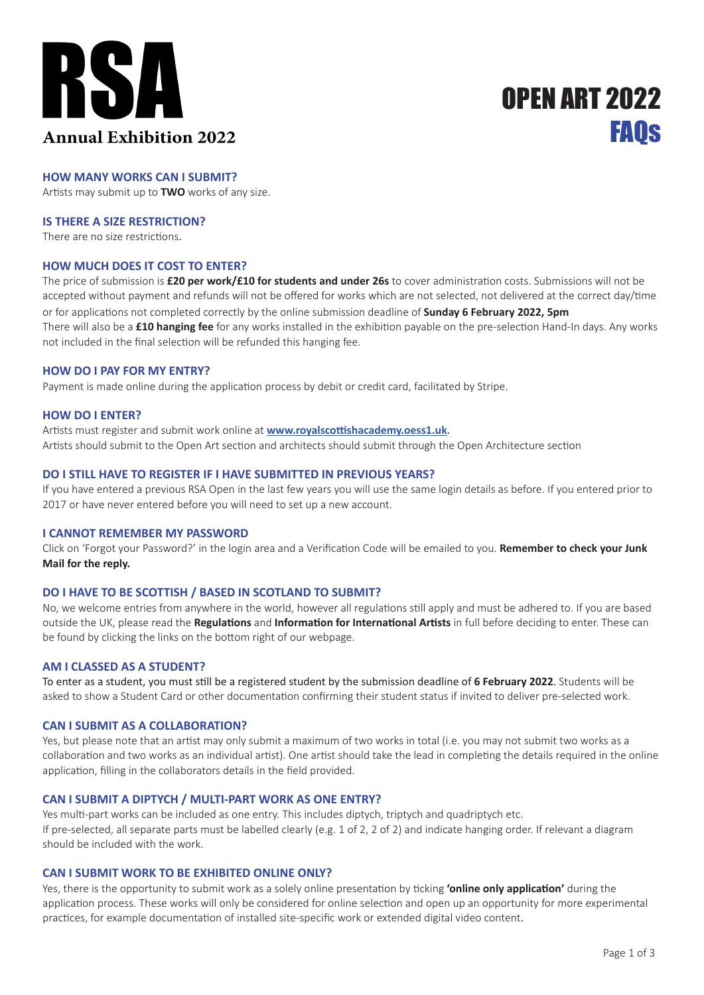

# **FAOS** OPEN ART 2022

## **HOW MANY WORKS CAN I SUBMIT?**

Artists may submit up to **TWO** works of any size.

## **IS THERE A SIZE RESTRICTION?**

There are no size restrictions.

## **HOW MUCH DOES IT COST TO ENTER?**

The price of submission is **£20 per work/£10 for students and under 26s** to cover administration costs. Submissions will not be accepted without payment and refunds will not be offered for works which are not selected, not delivered at the correct day/time or for applications not completed correctly by the online submission deadline of **Sunday 6 February 2022, 5pm** There will also be a **£10 hanging fee** for any works installed in the exhibition payable on the pre-selection Hand-In days. Any works not included in the final selection will be refunded this hanging fee.

#### **HOW DO I PAY FOR MY ENTRY?**

Payment is made online during the application process by debit or credit card, facilitated by Stripe.

#### **HOW DO I ENTER?**

Artists must register and submit work online at **www.royalscottishacademy.oess1.uk**. Artists should submit to the Open Art section and architects should submit through the Open Architecture section

## **DO I STILL HAVE TO REGISTER IF I HAVE SUBMITTED IN PREVIOUS YEARS?**

If you have entered a previous RSA Open in the last few years you will use the same login details as before. If you entered prior to 2017 or have never entered before you will need to set up a new account.

#### **I CANNOT REMEMBER MY PASSWORD**

Click on 'Forgot your Password?' in the login area and a Verification Code will be emailed to you. **Remember to check your Junk Mail for the reply.**

## **DO I HAVE TO BE SCOTTISH / BASED IN SCOTLAND TO SUBMIT?**

No, we welcome entries from anywhere in the world, however all regulations still apply and must be adhered to. If you are based outside the UK, please read the **Regulations** and **Information for International Artists** in full before deciding to enter. These can be found by clicking the links on the bottom right of our webpage.

## **AM I CLASSED AS A STUDENT?**

To enter as a student, you must still be a registered student by the submission deadline of **6 February 2022**. Students will be asked to show a Student Card or other documentation confirming their student status if invited to deliver pre-selected work.

## **CAN I SUBMIT AS A COLLABORATION?**

Yes, but please note that an artist may only submit a maximum of two works in total (i.e. you may not submit two works as a collaboration and two works as an individual artist). One artist should take the lead in completing the details required in the online application, filling in the collaborators details in the field provided.

## **CAN I SUBMIT A DIPTYCH / MULTI-PART WORK AS ONE ENTRY?**

Yes multi-part works can be included as one entry. This includes diptych, triptych and quadriptych etc. If pre-selected, all separate parts must be labelled clearly (e.g. 1 of 2, 2 of 2) and indicate hanging order. If relevant a diagram should be included with the work.

## **CAN I SUBMIT WORK TO BE EXHIBITED ONLINE ONLY?**

Yes, there is the opportunity to submit work as a solely online presentation by ticking **'online only application'** during the application process. These works will only be considered for online selection and open up an opportunity for more experimental practices, for example documentation of installed site-specific work or extended digital video content.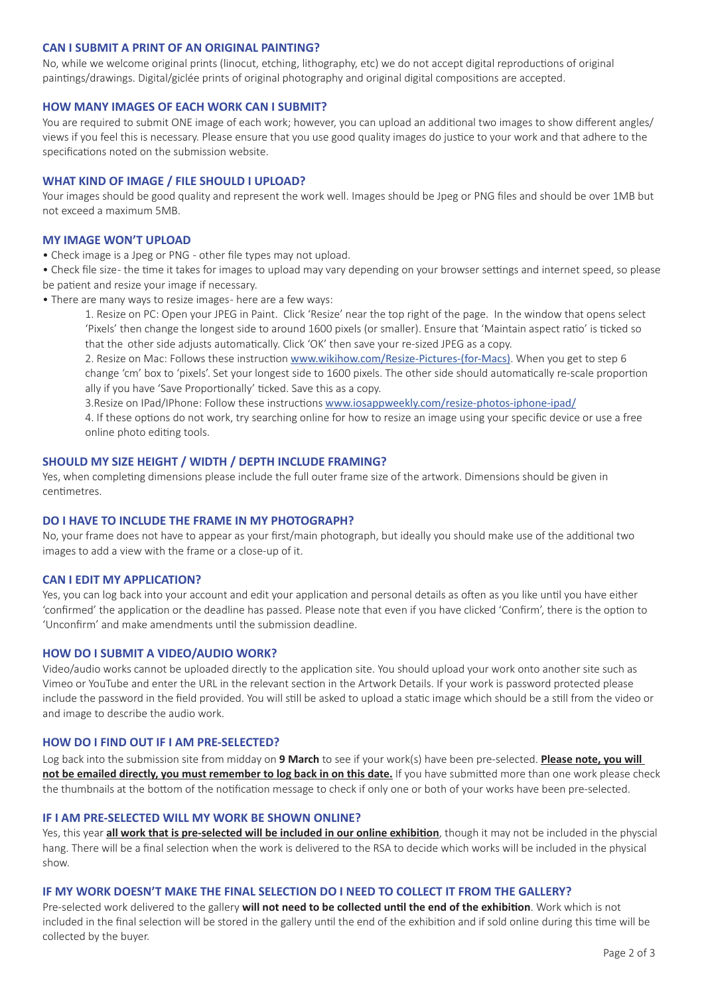## **CAN I SUBMIT A PRINT OF AN ORIGINAL PAINTING?**

No, while we welcome original prints (linocut, etching, lithography, etc) we do not accept digital reproductions of original paintings/drawings. Digital/giclée prints of original photography and original digital compositions are accepted.

## **HOW MANY IMAGES OF EACH WORK CAN I SUBMIT?**

You are required to submit ONE image of each work; however, you can upload an additional two images to show different angles/ views if you feel this is necessary. Please ensure that you use good quality images do justice to your work and that adhere to the specifications noted on the submission website.

## **WHAT KIND OF IMAGE / FILE SHOULD I UPLOAD?**

Your images should be good quality and represent the work well. Images should be Jpeg or PNG files and should be over 1MB but not exceed a maximum 5MB.

## **MY IMAGE WON'T UPLOAD**

- Check image is a Jpeg or PNG other file types may not upload.
- Check file size the time it takes for images to upload may vary depending on your browser settings and internet speed, so please be patient and resize your image if necessary.
- There are many ways to resize images- here are a few ways:
	- 1. Resize on PC: Open your JPEG in Paint. Click 'Resize' near the top right of the page. In the window that opens select 'Pixels' then change the longest side to around 1600 pixels (or smaller). Ensure that 'Maintain aspect ratio' is ticked so that the other side adjusts automatically. Click 'OK' then save your re-sized JPEG as a copy.
	- 2. Resize on Mac: Follows these instruction www.wikihow.com/Resize-Pictures-(for-Macs). When you get to step 6 change 'cm' box to 'pixels'. Set your longest side to 1600 pixels. The other side should automatically re-scale proportion ally if you have 'Save Proportionally' ticked. Save this as a copy.
	- 3.Resize on IPad/IPhone: Follow these instructions www.iosappweekly.com/resize-photos-iphone-ipad/
	- 4. If these options do not work, try searching online for how to resize an image using your specific device or use a free online photo editing tools.

#### **SHOULD MY SIZE HEIGHT / WIDTH / DEPTH INCLUDE FRAMING?**

Yes, when completing dimensions please include the full outer frame size of the artwork. Dimensions should be given in centimetres.

## **DO I HAVE TO INCLUDE THE FRAME IN MY PHOTOGRAPH?**

No, your frame does not have to appear as your first/main photograph, but ideally you should make use of the additional two images to add a view with the frame or a close-up of it.

## **CAN I EDIT MY APPLICATION?**

Yes, you can log back into your account and edit your application and personal details as often as you like until you have either 'confirmed' the application or the deadline has passed. Please note that even if you have clicked 'Confirm', there is the option to 'Unconfirm' and make amendments until the submission deadline.

## **HOW DO I SUBMIT A VIDEO/AUDIO WORK?**

Video/audio works cannot be uploaded directly to the application site. You should upload your work onto another site such as Vimeo or YouTube and enter the URL in the relevant section in the Artwork Details. If your work is password protected please include the password in the field provided. You will still be asked to upload a static image which should be a still from the video or and image to describe the audio work.

#### **HOW DO I FIND OUT IF I AM PRE-SELECTED?**

Log back into the submission site from midday on **9 March** to see if your work(s) have been pre-selected. **Please note, you will not be emailed directly, you must remember to log back in on this date.** If you have submitted more than one work please check the thumbnails at the bottom of the notification message to check if only one or both of your works have been pre-selected.

## **IF I AM PRE-SELECTED WILL MY WORK BE SHOWN ONLINE?**

Yes, this year **all work that is pre-selected will be included in our online exhibition**, though it may not be included in the physcial hang. There will be a final selection when the work is delivered to the RSA to decide which works will be included in the physical show.

#### **IF MY WORK DOESN'T MAKE THE FINAL SELECTION DO I NEED TO COLLECT IT FROM THE GALLERY?**

Pre-selected work delivered to the gallery **will not need to be collected until the end of the exhibition**. Work which is not included in the final selection will be stored in the gallery until the end of the exhibition and if sold online during this time will be collected by the buyer.